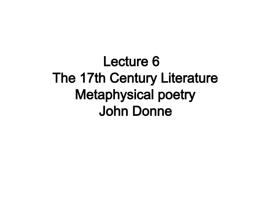Lecture 6 The 17th Century Literature Metaphysical poetry John Donne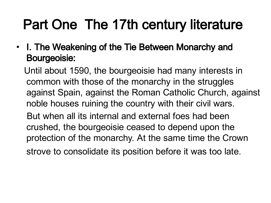## Part One The 17th century literature

• I. The Weakening of the Tie Between Monarchy and Bourgeoisie:

Until about 1590, the bourgeoisie had many interests in common with those of the monarchy in the struggles against Spain, against the Roman Catholic Church, against noble houses ruining the country with their civil wars. But when all its internal and external foes had been crushed, the bourgeoisie ceased to depend upon the protection of the monarchy. At the same time the Crown strove to consolidate its position before it was too late.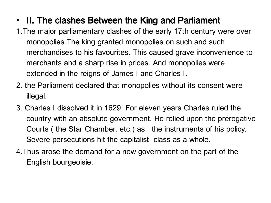- II. The clashes Between the King and Parliament
- 1.The major parliamentary clashes of the early 17th century were over monopolies.The king granted monopolies on such and such merchandises to his favourites. This caused grave inconvenience to merchants and a sharp rise in prices. And monopolies were extended in the reigns of James I and Charles I.
- 2. the Parliament declared that monopolies without its consent were illegal.
- 3. Charles I dissolved it in 1629. For eleven years Charles ruled the country with an absolute government. He relied upon the prerogative Courts ( the Star Chamber, etc.) as the instruments of his policy. Severe persecutions hit the capitalist class as a whole.
- 4.Thus arose the demand for a new government on the part of the English bourgeoisie.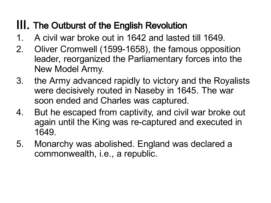#### III. The Outburst of the English Revolution

- 1. A civil war broke out in 1642 and lasted till 1649.
- 2. Oliver Cromwell (1599-1658), the famous opposition leader, reorganized the Parliamentary forces into the New Model Army.
- 3. the Army advanced rapidly to victory and the Royalists were decisively routed in Naseby in 1645. The war soon ended and Charles was captured.
- 4. But he escaped from captivity, and civil war broke out again until the King was re-captured and executed in 1649.
- 5. Monarchy was abolished. England was declared a commonwealth, i.e., a republic.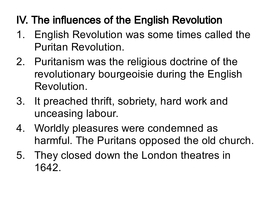### IV. The influences of the English Revolution

- 1. English Revolution was some times called the Puritan Revolution.
- 2. Puritanism was the religious doctrine of the revolutionary bourgeoisie during the English Revolution.
- 3. It preached thrift, sobriety, hard work and unceasing labour.
- 4. Worldly pleasures were condemned as harmful. The Puritans opposed the old church.
- 5. They closed down the London theatres in 1642.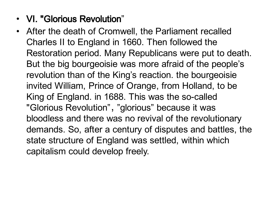#### • VI. "Glorious Revolution"

• After the death of Cromwell, the Parliament recalled Charles II to England in 1660. Then followed the Restoration period. Many Republicans were put to death. But the big bourgeoisie was more afraid of the people's revolution than of the King's reaction. the bourgeoisie invited William, Prince of Orange, from Holland, to be King of England. in 1688. This was the so-called "Glorious Revolution", "glorious" because it was bloodless and there was no revival of the revolutionary demands. So, after a century of disputes and battles, the state structure of England was settled, within which capitalism could develop freely.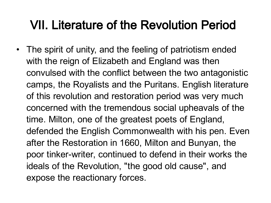### VII. Literature of the Revolution Period

• The spirit of unity, and the feeling of patriotism ended with the reign of Elizabeth and England was then convulsed with the conflict between the two antagonistic camps, the Royalists and the Puritans. English literature of this revolution and restoration period was very much concerned with the tremendous social upheavals of the time. Milton, one of the greatest poets of England, defended the English Commonwealth with his pen. Even after the Restoration in 1660, Milton and Bunyan, the poor tinker-writer, continued to defend in their works the ideals of the Revolution, "the good old cause" , and expose the reactionary forces.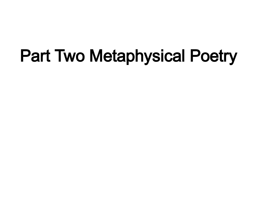# Part Two Metaphysical Poetry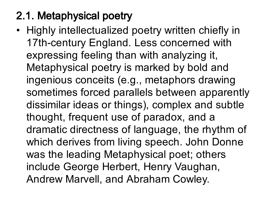### 2.1. Metaphysical poetry

• Highly intellectualized poetry written chiefly in 17th-century England. Less concerned with expressing feeling than with analyzing it, Metaphysical poetry is marked by bold and ingenious conceits (e.g., metaphors drawing sometimes forced parallels between apparently dissimilar ideas or things), complex and subtle thought, frequent use of paradox, and a dramatic directness of language, the rhythm of which derives from living speech. John Donne was the leading Metaphysical poet; others include George Herbert, Henry Vaughan, Andrew Marvell, and Abraham Cowley.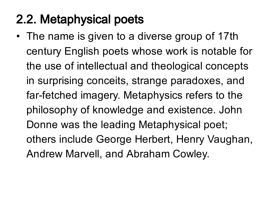### 2.2. Metaphysical poets

• The name is given to a diverse group of 17th century English poets whose work is notable for the use of intellectual and theological concepts in surprising conceits, strange paradoxes, and far-fetched imagery. Metaphysics refers to the philosophy of knowledge and existence. John Donne was the leading Metaphysical poet; others include George Herbert, Henry Vaughan, Andrew Marvell, and Abraham Cowley.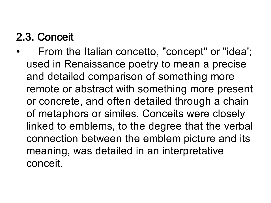### 2.3. Conceit

• From the Italian concetto, "concept" or "idea'; used in Renaissance poetry to mean a precise and detailed comparison of something more remote or abstract with something more present or concrete, and often detailed through a chain of metaphors or similes. Conceits were closely linked to emblems, to the degree that the verbal connection between the emblem picture and its meaning, was detailed in an interpretative conceit.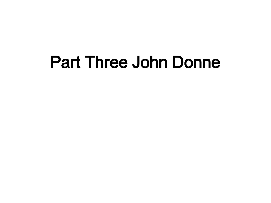# Part Three John Donne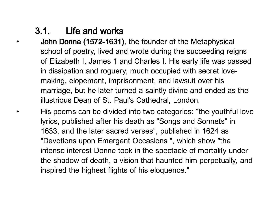#### 3.1. Life and works

- John Donne (1572-1631), the founder of the Metaphysical school of poetry, lived and wrote during the succeeding reigns of Elizabeth I, James 1 and Charles I. His early life was passed in dissipation and roguery, much occupied with secret lovemaking, elopement, imprisonment, and lawsuit over his marriage, but he later turned a saintly divine and ended as the illustrious Dean of St. Paul's Cathedral, London.
- His poems can be divided into two categories: "the youthful love lyrics, published after his death as "Songs and Sonnets" in 1633, and the later sacred verses", published in 1624 as "Devotions upon Emergent Occasions " , which show "the intense interest Donne took in the spectacle of mortality under the shadow of death, a vision that haunted him perpetually, and inspired the highest flights of his eloquence."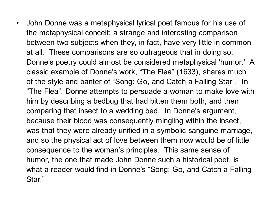• John Donne was a metaphysical lyrical poet famous for his use of the metaphysical conceit: a strange and interesting comparison between two subjects when they, in fact, have very little in common at all. These comparisons are so outrageous that in doing so, Donne's poetry could almost be considered metaphysical 'humor.' A classic example of Donne's work, "The Flea" (1633), shares much of the style and banter of "Song: Go, and Catch a Falling Star". In "The Flea" , Donne attempts to persuade a woman to make love with him by describing a bedbug that had bitten them both, and then comparing that insect to a wedding bed. In Donne's argument, because their blood was consequently mingling within the insect, was that they were already unified in a symbolic sanguine marriage, and so the physical act of love between them now would be of little consequence to the woman's principles. This same sense of humor, the one that made John Donne such a historical poet, is what a reader would find in Donne's "Song: Go, and Catch a Falling Star."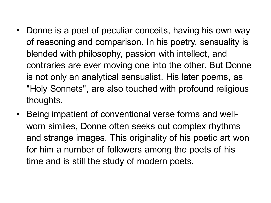- Donne is a poet of peculiar conceits, having his own way of reasoning and comparison. In his poetry, sensuality is blended with philosophy, passion with intellect, and contraries are ever moving one into the other. But Donne is not only an analytical sensualist. His later poems, as "Holy Sonnets", are also touched with profound religious thoughts.
- Being impatient of conventional verse forms and wellworn similes, Donne often seeks out complex rhythms and strange images. This originality of his poetic art won for him a number of followers among the poets of his time and is still the study of modern poets.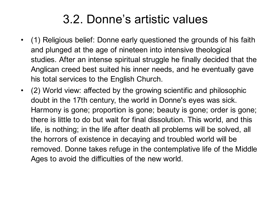### 3.2. Donne's artistic values

- (1) Religious belief: Donne early questioned the grounds of his faith and plunged at the age of nineteen into intensive theological studies. After an intense spiritual struggle he finally decided that the Anglican creed best suited his inner needs, and he eventually gave his total services to the English Church.
- (2) World view: affected by the growing scientific and philosophic doubt in the 17th century, the world in Donne's eyes was sick. Harmony is gone; proportion is gone; beauty is gone; order is gone; there is little to do but wait for final dissolution. This world, and this life, is nothing; in the life after death all problems will be solved, all the horrors of existence in decaying and troubled world will be removed. Donne takes refuge in the contemplative life of the Middle Ages to avoid the difficulties of the new world.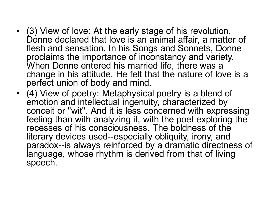- (3) View of love: At the early stage of his revolution, Donne declared that love is an animal affair, a matter of flesh and sensation. In his Songs and Sonnets, Donne proclaims the importance of inconstancy and variety. When Donne entered his married life, there was a change in his attitude. He felt that the nature of love is a perfect union of body and mind.
- (4) View of poetry: Metaphysical poetry is a blend of emotion and intellectual ingenuity, characterized by conceit or "wit". And it is less concerned with expressing feeling than with analyzing it, with the poet exploring the recesses of his consciousness. The boldness of the literary devices used--especially obliquity, irony, and paradox--is always reinforced by a dramatic directness of language, whose rhythm is derived from that of living speech.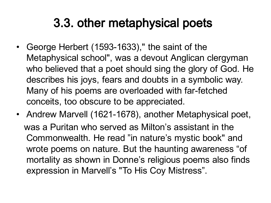### 3.3. other metaphysical poets

- George Herbert (1593-1633), " the saint of the Metaphysical school" , was a devout Anglican clergyman who believed that a poet should sing the glory of God. He describes his joys, fears and doubts in a symbolic way. Many of his poems are overloaded with far-fetched conceits, too obscure to be appreciated.
- Andrew Marvell (1621-1678), another Metaphysical poet, was a Puritan who served as Milton's assistant in the Commonwealth. He read "in nature's mystic book" and wrote poems on nature. But the haunting awareness "of mortality as shown in Donne's religious poems also finds expression in Marvell's "To His Coy Mistress".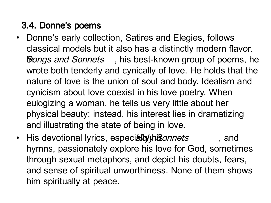#### 3.4. Donne's poems

- Donne's early collection, Satires and Elegies, follows classical models but it also has a distinctly modern flavor. **Songs and Sonnets**, his best-known group of poems, he wrote both tenderly and cynically of love. He holds that the nature of love is the union of soul and body. Idealism and cynicism about love coexist in his love poetry. When eulogizing a woman, he tells us very little about her physical beauty; instead, his interest lies in dramatizing and illustrating the state of being in love.
- His devotional lyrics, especially his onnets and hymns, passionately explore his love for God, sometimes through sexual metaphors, and depict his doubts, fears, and sense of spiritual unworthiness. None of them shows him spiritually at peace.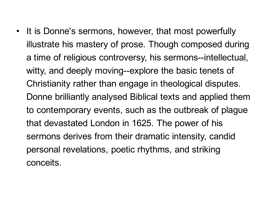• It is Donne's sermons, however, that most powerfully illustrate his mastery of prose. Though composed during a time of religious controversy, his sermons--intellectual, witty, and deeply moving--explore the basic tenets of Christianity rather than engage in theological disputes. Donne brilliantly analysed Biblical texts and applied them to contemporary events, such as the outbreak of plague that devastated London in 1625. The power of his sermons derives from their dramatic intensity, candid personal revelations, poetic rhythms, and striking conceits.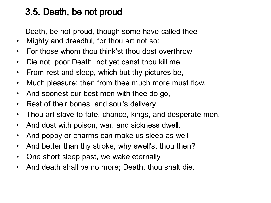#### 3.5. Death, be not proud

Death, be not proud, though some have called thee

- Mighty and dreadful, for thou art not so:
- For those whom thou think'st thou dost overthrow
- Die not, poor Death, not yet canst thou kill me.
- From rest and sleep, which but thy pictures be,
- Much pleasure; then from thee much more must flow,
- And soonest our best men with thee do go,
- Rest of their bones, and soul's delivery.
- Thou art slave to fate, chance, kings, and desperate men,
- And dost with poison, war, and sickness dwell,
- And poppy or charms can make us sleep as well
- And better than thy stroke; why swell'st thou then?
- One short sleep past, we wake eternally
- And death shall be no more; Death, thou shalt die.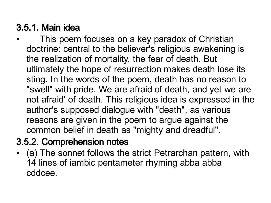#### 3.5.1. Main idea

This poem focuses on a key paradox of Christian doctrine: central to the believer's religious awakening is the realization of mortality, the fear of death. But ultimately the hope of resurrection makes death lose its sting. In the words of the poem, death has no reason to "swell" with pride. We are afraid of death, and yet we are not afraid' of death. This religious idea is expressed in the author's supposed dialogue with "death" , as various reasons are given in the poem to argue against the common belief in death as "mighty and dreadful".

#### 3.5.2. Comprehension notes

(a) The sonnet follows the strict Petrarchan pattern, with 14 lines of iambic pentameter rhyming abba abba cddcee.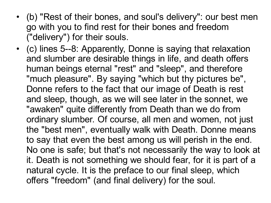- (b) "Rest of their bones, and soul's delivery": our best men go with you to find rest for their bones and freedom ("delivery") for their souls.
- (c) lines 5--8: Apparently, Donne is saying that relaxation and slumber are desirable things in life, and death offers human beings eternal "rest" and "sleep" , and therefore "much pleasure". By saying "which but thy pictures be", Donne refers to the fact that our image of Death is rest and sleep, though, as we will see later in the sonnet, we "awaken" quite differently from Death than we do from ordinary slumber. Of course, all men and women, not just the "best men" , eventually walk with Death. Donne means to say that even the best among us will perish in the end. No one is safe; but that's not necessarily the way to look at it. Death is not something we should fear, for it is part of a natural cycle. It is the preface to our final sleep, which offers "freedom" (and final delivery) for the soul.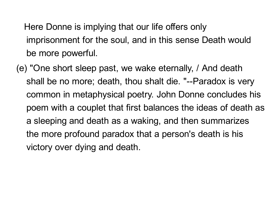Here Donne is implying that our life offers only imprisonment for the soul, and in this sense Death would be more powerful.

(e) "One short sleep past, we wake eternally, / And death shall be no more; death, thou shalt die. "--Paradox is very common in metaphysical poetry. John Donne concludes his poem with a couplet that first balances the ideas of death as a sleeping and death as a waking, and then summarizes the more profound paradox that a person's death is his victory over dying and death.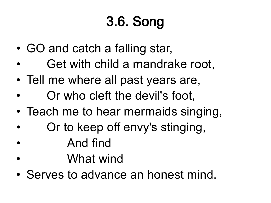# 3.6. Song

- GO and catch a falling star,
- Get with child a mandrake root,
- Tell me where all past years are,
- Or who cleft the devil's foot,
- Teach me to hear mermaids singing,
- Or to keep off envy's stinging,
- And find
- What wind
- Serves to advance an honest mind.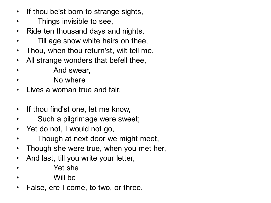- If thou be'st born to strange sights,
- Things invisible to see,
- Ride ten thousand days and nights,
- Till age snow white hairs on thee,
- Thou, when thou return'st, wilt tell me,
- All strange wonders that befell thee,
- And swear,
- No where
- Lives a woman true and fair.
- If thou find'st one, let me know,
- Such a pilgrimage were sweet;
- Yet do not, I would not go,
- Though at next door we might meet,
- Though she were true, when you met her,
- And last, till you write your letter,
- Pet she
- Will be
- False, ere I come, to two, or three.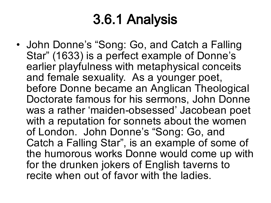## 3.6.1 Analysis

• John Donne's "Song: Go, and Catch a Falling Star" (1633) is a perfect example of Donne's earlier playfulness with metaphysical conceits and female sexuality. As a younger poet, before Donne became an Anglican Theological Doctorate famous for his sermons, John Donne was a rather 'maiden-obsessed' Jacobean poet with a reputation for sonnets about the women of London. John Donne's "Song: Go, and Catch a Falling Star" , is an example of some of the humorous works Donne would come up with for the drunken jokers of English taverns to recite when out of favor with the ladies.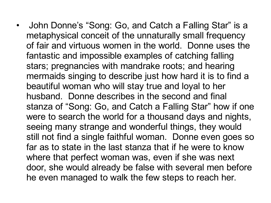• John Donne's "Song: Go, and Catch a Falling Star" is a metaphysical conceit of the unnaturally small frequency of fair and virtuous women in the world. Donne uses the fantastic and impossible examples of catching falling stars; pregnancies with mandrake roots; and hearing mermaids singing to describe just how hard it is to find a beautiful woman who will stay true and loyal to her husband. Donne describes in the second and final stanza of "Song: Go, and Catch a Falling Star" how if one were to search the world for a thousand days and nights, seeing many strange and wonderful things, they would still not find a single faithful woman. Donne even goes so far as to state in the last stanza that if he were to know where that perfect woman was, even if she was next door, she would already be false with several men before he even managed to walk the few steps to reach her.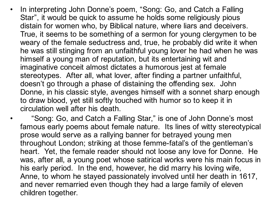• In interpreting John Donne's poem, "Song: Go, and Catch a Falling Star" , it would be quick to assume he holds some religiously pious distain for women who, by Biblical nature, where liars and deceivers. True, it seems to be something of a sermon for young clergymen to be weary of the female seductress and, true, he probably did write it when he was still stinging from an unfaithful young lover he had when he was himself a young man of reputation, but its entertaining wit and imaginative conceit almost dictates a humorous jest at female stereotypes. After all, what lover, after finding a partner unfaithful, doesn't go through a phase of distaining the offending sex. John Donne, in his classic style, avenges himself with a sonnet sharp enough to draw blood, yet still softly touched with humor so to keep it in circulation well after his death.

•

"Song: Go, and Catch a Falling Star, " is one of John Donne's most famous early poems about female nature. Its lines of witty stereotypical prose would serve as a rallying banner for betrayed young men throughout London; striking at those femme-fatal's of the gentleman's heart. Yet, the female reader should not loose any love for Donne. He was, after all, a young poet whose satirical works were his main focus in his early period. In the end, however, he did marry his loving wife, Anne, to whom he stayed passionately involved until her death in 1617, and never remarried even though they had a large family of eleven children together.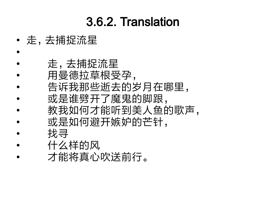### 3.6.2. Translation

- 走,去捕捉流星
- • 走,去捕捉流星
- 用曼德拉草根受孕,
- 告诉我那些逝去的岁月在哪里,
	- 或是谁劈开了魔鬼的脚跟,
- 教我如何才能听到美人鱼的歌声,
- 或是如何避开嫉妒的芒针,
	- 找寻
- 什么样的风
- 才能将真心吹送前行。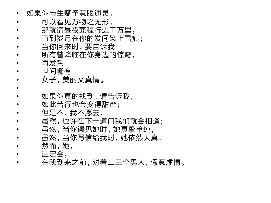- 如果你与生赋予慧眼通灵,
- 可以看见万物之无形,
- 那就请昼夜兼程行进千万里,
- 直到岁月在你的发间染上雪痕;
- 当你回来时,要告诉我
- 所有曾降临在你身边的惊奇, • 再发誓
- 世间哪有
- 女子,美丽又真情。
- •
- 如果你真的找到,请告诉我,
- 如此苦行也会变得甜蜜;
- 但是不,我不愿去,
- 虽然,也许在下一道门我们就会相逢;
	- 虽然, 当你遇见她时, 她真挚单纯,
- 虽然, 当你写信给我时, 她依然天真,
- 然而,她,
- 注定会,
- 在我到来之前,对着二三个男人,假意虚情。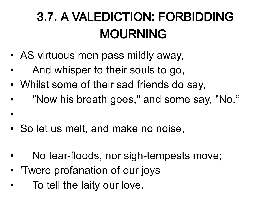## 3.7. A VALEDICTION: FORBIDDING MOURNING

- AS virtuous men pass mildly away,
- And whisper to their souls to go,
- Whilst some of their sad friends do say,
- "Now his breath goes," and some say, "No."
- So let us melt, and make no noise,
- No tear-floods, nor sigh-tempests move;
- 'Twere profanation of our joys
- To tell the laity our love.

•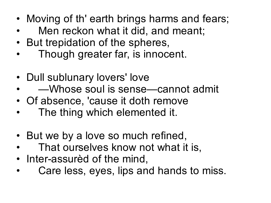- Moving of th' earth brings harms and fears;
- Men reckon what it did, and meant;
- But trepidation of the spheres,
- Though greater far, is innocent.
- Dull sublunary lovers' love
- —Whose soul is sense—cannot admit
- Of absence, 'cause it doth remove
- The thing which elemented it.
- But we by a love so much refined,
- That ourselves know not what it is,
- Inter-assurèd of the mind,
- Care less, eyes, lips and hands to miss.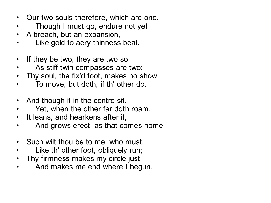- Our two souls therefore, which are one,
- Though I must go, endure not yet
- A breach, but an expansion,
- Like gold to aery thinness beat.
- If they be two, they are two so
- As stiff twin compasses are two;
- Thy soul, the fix'd foot, makes no show
- To move, but doth, if th' other do.
- And though it in the centre sit,
- Yet, when the other far doth roam,
- It leans, and hearkens after it,
- And grows erect, as that comes home.
- Such wilt thou be to me, who must,
- Like th' other foot, obliquely run;
- Thy firmness makes my circle just,
- And makes me end where I begun.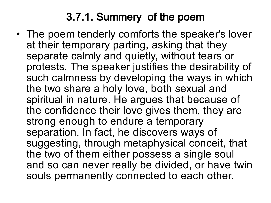### 3.7.1. Summery of the poem

• The poem tenderly comforts the speaker's lover at their temporary parting, asking that they separate calmly and quietly, without tears or protests. The speaker justifies the desirability of such calmness by developing the ways in which the two share a holy love, both sexual and spiritual in nature. He argues that because of the confidence their love gives them, they are strong enough to endure a temporary separation. In fact, he discovers ways of suggesting, through metaphysical conceit, that the two of them either possess a single soul and so can never really be divided, or have twin souls permanently connected to each other.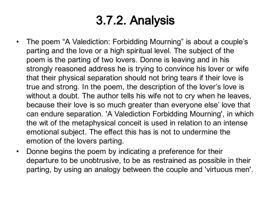### 3.7.2. Analysis

- The poem "A Valediction: Forbidding Mourning" is about a couple's parting and the love or a high spiritual level. The subject of the poem is the parting of two lovers. Donne is leaving and in his strongly reasoned address he is trying to convince his lover or wife that their physical separation should not bring tears if their love is true and strong. In the poem, the description of the lover's love is without a doubt. The author tells his wife not to cry when he leaves, because their love is so much greater than everyone else' love that can endure separation. 'A Valediction Forbidding Mourning' , in which the wit of the metaphysical conceit is used in relation to an intense emotional subject. The effect this has is not to undermine the emotion of the lovers parting.
- Donne begins the poem by indicating a preference for their departure to be unobtrusive, to be as restrained as possible in their parting, by using an analogy between the couple and 'virtuous men'.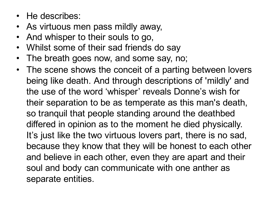- He describes:
- As virtuous men pass mildly away,
- And whisper to their souls to go,
- Whilst some of their sad friends do say
- The breath goes now, and some say, no;
- The scene shows the conceit of a parting between lovers being like death. And through descriptions of 'mildly' and the use of the word 'whisper' reveals Donne's wish for their separation to be as temperate as this man's death, so tranquil that people standing around the deathbed differed in opinion as to the moment he died physically. It's just like the two virtuous lovers part, there is no sad, because they know that they will be honest to each other and believe in each other, even they are apart and their soul and body can communicate with one anther as separate entities.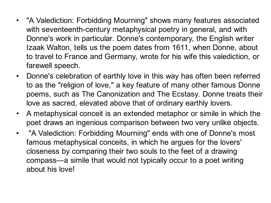- "A Valediction: Forbidding Mourning" shows many features associated with seventeenth-century metaphysical poetry in general, and with Donne's work in particular. Donne's contemporary, the English writer Izaak Walton, tells us the poem dates from 1611, when Donne, about to travel to France and Germany, wrote for his wife this valediction, or farewell speech.
- Donne's celebration of earthly love in this way has often been referred to as the "religion of love, " a key feature of many other famous Donne poems, such as The Canonization and The Ecstasy. Donne treats their love as sacred, elevated above that of ordinary earthly lovers.
- A metaphysical conceit is an extended metaphor or simile in which the poet draws an ingenious comparison between two very unlike objects.
- "A Valediction: Forbidding Mourning" ends with one of Donne's most famous metaphysical conceits, in which he argues for the lovers' closeness by comparing their two souls to the feet of a drawing compass—a simile that would not typically occur to a poet writing about his love!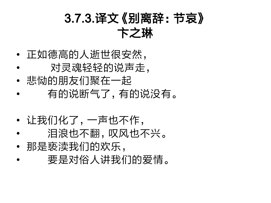### 3.7.3.译文《别离辞:节哀》 卞之琳

- 正如德高的人逝世很安然,
- 对灵魂轻轻的说声走,
- 悲恸的朋友们聚在一起
- 有的说断气了,有的说没有。
- 让我们化了,一声也不作,
- 泪浪也不飘,叹风也不兴。
- 那是亵渎我们的欢乐,
- 要是对俗人讲我们的爱情。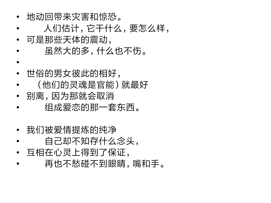- 地动回带来灾害和惊恐。
- 人们估计,它干什么,要怎么样,
- 可是那些天体的震动,
- 虽然大的多,什么也不伤。
- • 世俗的男女彼此的相好,
- (他们的灵魂是官能)就最好
- 别离,因为那就会取消
- 组成爱恋的那一套东西。
- 我们被爱情提炼的纯净
- 自己却不知存什么念头,
- 互相在心灵上得到了保证,
- 再也不愁碰不到眼睛,嘴和手。